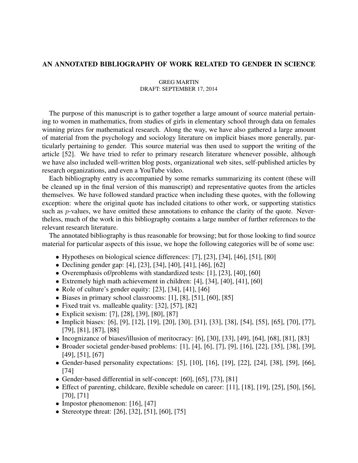# AN ANNOTATED BIBLIOGRAPHY OF WORK RELATED TO GENDER IN SCIENCE

## GREG MARTIN DRAFT: SEPTEMBER 17, 2014

The purpose of this manuscript is to gather together a large amount of source material pertaining to women in mathematics, from studies of girls in elementary school through data on females winning prizes for mathematical research. Along the way, we have also gathered a large amount of material from the psychology and sociology literature on implicit biases more generally, particularly pertaining to gender. This source material was then used to support the writing of the article [52]. We have tried to refer to primary research literature whenever possible, although we have also included well-written blog posts, organizational web sites, self-published articles by research organizations, and even a YouTube video.

Each bibliography entry is accompanied by some remarks summarizing its content (these will be cleaned up in the final version of this manuscript) and representative quotes from the articles themselves. We have followed standard practice when including these quotes, with the following exception: where the original quote has included citations to other work, or supporting statistics such as  $p$ -values, we have omitted these annotations to enhance the clarity of the quote. Nevertheless, much of the work in this bibliography contains a large number of further references to the relevant research literature.

The annotated bibliography is thus reasonable for browsing; but for those looking to find source material for particular aspects of this issue, we hope the following categories will be of some use:

- Hypotheses on biological science differences: [7], [23], [34], [46], [51], [80]
- Declining gender gap: [4], [23], [34], [40], [41], [46], [62]
- Overemphasis of/problems with standardized tests: [1], [23], [40], [60]
- Extremely high math achievement in children: [4], [34], [40], [41], [60]
- Role of culture's gender equity: [23], [34], [41], [46]
- Biases in primary school classrooms: [1], [8], [51], [60], [85]
- Fixed trait vs. malleable quality: [32], [57], [82]
- Explicit sexism: [7], [28], [39], [80], [87]
- Implicit biases: [6], [9], [12], [19], [20], [30], [31], [33], [38], [54], [55], [65], [70], [77], [79], [81], [87], [88]
- Incognizance of biases/illusion of meritocracy: [6], [30], [33], [49], [64], [68], [81], [83]
- Broader societal gender-based problems: [1], [4], [6], [7], [9], [16], [22], [35], [38], [39], [49], [51], [67]
- Gender-based personality expectations: [5], [10], [16], [19], [22], [24], [38], [59], [66], [74]
- Gender-based differential in self-concept: [60], [65], [73], [81]
- Effect of parenting, childcare, flexible schedule on career: [11], [18], [19], [25], [50], [56], [70], [71]
- Impostor phenomenon: [16], [47]
- Stereotype threat: [26], [32], [51], [60], [75]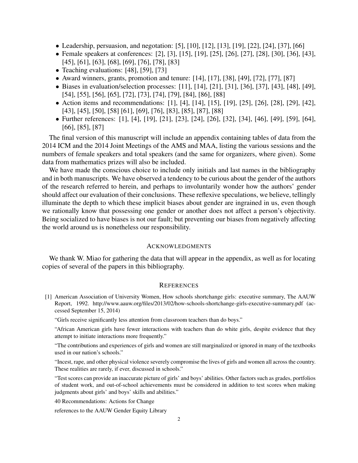- Leadership, persuasion, and negotation: [5], [10], [12], [13], [19], [22], [24], [37], [66]
- Female speakers at conferences: [2], [3], [15], [19], [25], [26], [27], [28], [30], [36], [43], [45], [61], [63], [68], [69], [76], [78], [83]
- Teaching evaluations: [48], [59], [73]
- Award winners, grants, promotion and tenure: [14], [17], [38], [49], [72], [77], [87]
- Biases in evaluation/selection processes: [11], [14], [21], [31], [36], [37], [43], [48], [49], [54], [55], [56], [65], [72], [73], [74], [79], [84], [86], [88]
- Action items and recommendations: [1], [4], [14], [15], [19], [25], [26], [28], [29], [42], [43], [45], [50], [58] [61], [69], [76], [83], [85], [87], [88]
- Further references: [1], [4], [19], [21], [23], [24], [26], [32], [34], [46], [49], [59], [64], [66], [85], [87]

The final version of this manuscript will include an appendix containing tables of data from the 2014 ICM and the 2014 Joint Meetings of the AMS and MAA, listing the various sessions and the numbers of female speakers and total speakers (and the same for organizers, where given). Some data from mathematics prizes will also be included.

We have made the conscious choice to include only initials and last names in the bibliography and in both manuscripts. We have observed a tendency to be curious about the gender of the authors of the research referred to herein, and perhaps to involuntarily wonder how the authors' gender should affect our evaluation of their conclusions. These reflexive speculations, we believe, tellingly illuminate the depth to which these implicit biases about gender are ingrained in us, even though we rationally know that possessing one gender or another does not affect a person's objectivity. Being socialized to have biases is not our fault; but preventing our biases from negatively affecting the world around us is nonetheless our responsibility.

### ACKNOWLEDGMENTS

We thank W. Miao for gathering the data that will appear in the appendix, as well as for locating copies of several of the papers in this bibliography.

#### **REFERENCES**

[1] American Association of University Women, How schools shortchange girls: executive summary, The AAUW Report, 1992. http://www.aauw.org/files/2013/02/how-schools-shortchange-girls-executive-summary.pdf (accessed September 15, 2014)

"Girls receive significantly less attention from classroom teachers than do boys."

"African American girls have fewer interactions with teachers than do white girls, despite evidence that they attempt to initiate interactions more frequently."

"The contributions and experiences of girls and women are still marginalized or ignored in many of the textbooks used in our nation's schools."

"Incest, rape, and other physical violence severely compromise the lives of girls and women all across the country. These realities are rarely, if ever, discussed in schools."

"Test scores can provide an inaccurate picture of girls' and boys' abilities. Other factors such as grades, portfolios of student work, and out-of-school achievements must be considered in addition to test scores when making judgments about girls' and boys' skills and abilities."

40 Recommendations: Actions for Change

references to the AAUW Gender Equity Library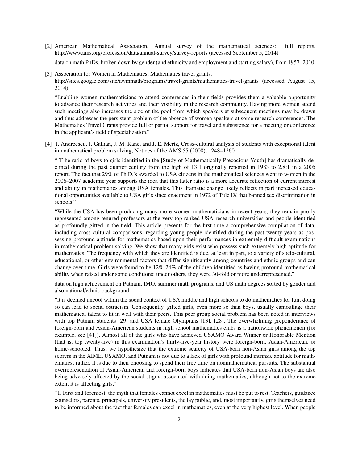[2] American Mathematical Association, Annual survey of the mathematical sciences: full reports. http://www.ams.org/profession/data/annual-survey/survey-reports (accessed September 5, 2014)

data on math PhDs, broken down by gender (and ethnicity and employment and starting salary), from 1957–2010.

[3] Association for Women in Mathematics, Mathematics travel grants. http://sites.google.com/site/awmmath/programs/travel-grants/mathematics-travel-grants (accessed August 15, 2014)

"Enabling women mathematicians to attend conferences in their fields provides them a valuable opportunity to advance their research activities and their visibility in the research community. Having more women attend such meetings also increases the size of the pool from which speakers at subsequent meetings may be drawn and thus addresses the persistent problem of the absence of women speakers at some research conferences. The Mathematics Travel Grants provide full or partial support for travel and subsistence for a meeting or conference in the applicant's field of specialization."

[4] T. Andreescu, J. Gallian, J. M. Kane, and J. E. Mertz, Cross-cultural analysis of students with exceptional talent in mathematical problem solving, Notices of the AMS 55 (2008), 1248–1260.

"[T]he ratio of boys to girls identified in the [Study of Mathematically Precocious Youth] has dramatically declined during the past quarter century from the high of 13:1 originally reported in 1983 to 2.8:1 in a 2005 report. The fact that 29% of Ph.D.'s awarded to USA citizens in the mathematical sciences went to women in the 2006–2007 academic year supports the idea that this latter ratio is a more accurate reflection of current interest and ability in mathematics among USA females. This dramatic change likely reflects in part increased educational opportunities available to USA girls since enactment in 1972 of Title IX that banned sex discrimination in schools."

"While the USA has been producing many more women mathematicians in recent years, they remain poorly represented among tenured professors at the very top-ranked USA research universities and people identified as profoundly gifted in the field. This article presents for the first time a comprehensive compilation of data, including cross-cultural comparisons, regarding young people identified during the past twenty years as possessing profound aptitude for mathematics based upon their performances in extremely difficult examinations in mathematical problem solving. We show that many girls exist who possess such extremely high aptitude for mathematics. The frequency with which they are identified is due, at least in part, to a variety of socio-cultural, educational, or other environmental factors that differ significantly among countries and ethnic groups and can change over time. Girls were found to be 12%-24% of the children identified as having profound mathematical ability when raised under some conditions; under others, they were 30-fold or more underrepresented."

data on high achievement on Putnam, IMO, summer math programs, and US math degrees sorted by gender and also national/ethnic background

"it is deemed uncool within the social context of USA middle and high schools to do mathematics for fun; doing so can lead to social ostracism. Consequently, gifted girls, even more so than boys, usually camouflage their mathematical talent to fit in well with their peers. This peer group social problem has been noted in interviews with top Putnam students [29] and USA female Olympians [13], [28]. The overwhelming preponderance of foreign-born and Asian-American students in high school mathematics clubs is a nationwide phenomenon (for example, see [41]). Almost all of the girls who have achieved USAMO Award Winner or Honorable Mention (that is, top twenty-five) in this examination's thirty-five-year history were foreign-born, Asian-American, or home-schooled. Thus, we hypothesize that the extreme scarcity of USA-born non-Asian girls among the top scorers in the AIME, USAMO, and Putnam is not due to a lack of girls with profound intrinsic aptitude for mathematics; rather, it is due to their choosing to spend their free time on nonmathematical pursuits. The substantial overrepresentation of Asian-American and foreign-born boys indicates that USA-born non-Asian boys are also being adversely affected by the social stigma associated with doing mathematics, although not to the extreme extent it is affecting girls."

"1. First and foremost, the myth that females cannot excel in mathematics must be put to rest. Teachers, guidance counselors, parents, principals, university presidents, the lay public, and, most importantly, girls themselves need to be informed about the fact that females can excel in mathematics, even at the very highest level. When people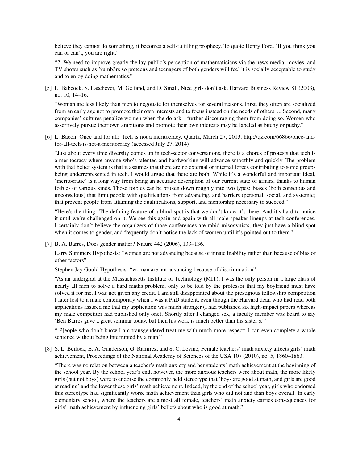believe they cannot do something, it becomes a self-fulfilling prophecy. To quote Henry Ford, 'If you think you can or can't, you are right.'

"2. We need to improve greatly the lay public's perception of mathematicians via the news media, movies, and TV shows such as Numb3rs so preteens and teenagers of both genders will feel it is socially acceptable to study and to enjoy doing mathematics."

[5] L. Babcock, S. Laschever, M. Gelfand, and D. Small, Nice girls don't ask, Harvard Business Review 81 (2003), no. 10, 14–16.

"Woman are less likely than men to negotiate for themselves for several reasons. First, they often are socialized from an early age not to promote their own interests and to focus instead on the needs of others. ... Second, many companies' cultures penalize women when the do ask—further discouraging them from doing so. Women who assertively pursue their own ambitions and promote their own interests may be labeled as bitchy or pushy."

[6] L. Bacon, Once and for all: Tech is not a meritocracy, Quartz, March 27, 2013. http://qz.com/66866/once-andfor-all-tech-is-not-a-meritocracy (accessed July 27, 2014)

"Just about every time diversity comes up in tech-sector conversations, there is a chorus of protests that tech is a meritocracy where anyone who's talented and hardworking will advance smoothly and quickly. The problem with that belief system is that it assumes that there are no external or internal forces contributing to some groups being underrepresented in tech. I would argue that there are both. While it's a wonderful and important ideal, 'meritocratic' is a long way from being an accurate description of our current state of affairs, thanks to human foibles of various kinds. Those foibles can be broken down roughly into two types: biases (both conscious and unconscious) that limit people with qualifications from advancing, and barriers (personal, social, and systemic) that prevent people from attaining the qualifications, support, and mentorship necessary to succeed."

"Here's the thing: The defining feature of a blind spot is that we don't know it's there. And it's hard to notice it until we're challenged on it. We see this again and again with all-male speaker lineups at tech conferences. I certainly don't believe the organizers of those conferences are rabid misogynists; they just have a blind spot when it comes to gender, and frequently don't notice the lack of women until it's pointed out to them."

[7] B. A. Barres, Does gender matter? Nature 442 (2006), 133–136.

Larry Summers Hypothesis: "women are not advancing because of innate inability rather than because of bias or other factors"

Stephen Jay Gould Hypothesis: "woman are not advancing because of discrimination"

"As an undergrad at the Massachusetts Institute of Technology (MIT), I was the only person in a large class of nearly all men to solve a hard maths problem, only to be told by the professor that my boyfriend must have solved it for me. I was not given any credit. I am still disappointed about the prestigious fellowship competition I later lost to a male contemporary when I was a PhD student, even though the Harvard dean who had read both applications assured me that my application was much stronger (I had published six high-impact papers whereas my male competitor had published only one). Shortly after I changed sex, a faculty member was heard to say 'Ben Barres gave a great seminar today, but then his work is much better than his sister's."'

"[P]eople who don't know I am transgendered treat me with much more respect: I can even complete a whole sentence without being interrupted by a man."

[8] S. L. Beilock, E. A. Gunderson, G. Ramirez, and S. C. Levine, Female teachers' math anxiety affects girls' math achievement, Proceedings of the National Academy of Sciences of the USA 107 (2010), no. 5, 1860–1863.

"There was no relation between a teacher's math anxiety and her students' math achievement at the beginning of the school year. By the school year's end, however, the more anxious teachers were about math, the more likely girls (but not boys) were to endorse the commonly held stereotype that 'boys are good at math, and girls are good at reading' and the lower these girls' math achievement. Indeed, by the end of the school year, girls who endorsed this stereotype had significantly worse math achievement than girls who did not and than boys overall. In early elementary school, where the teachers are almost all female, teachers' math anxiety carries consequences for girls' math achievement by influencing girls' beliefs about who is good at math."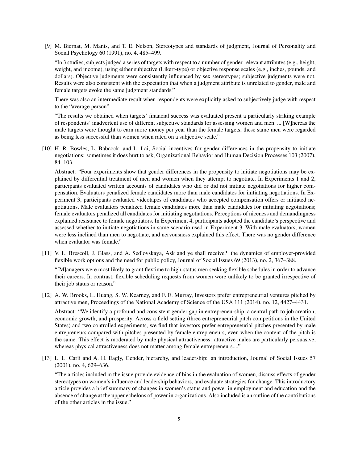[9] M. Biernat, M. Manis, and T. E. Nelson, Stereotypes and standards of judgment, Journal of Personality and Social Psychology 60 (1991), no. 4, 485–499.

"In 3 studies, subjects judged a series of targets with respect to a number of gender-relevant attributes (e.g., height, weight, and income), using either subjective (Likert-type) or objective response scales (e.g., inches, pounds, and dollars). Objective judgments were consistently influenced by sex stereotypes; subjective judgments were not. Results were also consistent with the expectation that when a judgment attribute is unrelated to gender, male and female targets evoke the same judgment standards."

There was also an intermediate result when respondents were explicitly asked to subjectively judge with respect to the "average person".

"The results we obtained when targets' financial success was evaluated present a particularly striking example of respondents' inadvertent use of different subjective standards for assessing women and men. ... [W]hereas the male targets were thought to earn more money per year than the female targets, these same men were regarded as being less successful than women when rated on a subjective scale."

[10] H. R. Bowles, L. Babcock, and L. Lai, Social incentives for gender differences in the propensity to initiate negotiations: sometimes it does hurt to ask, Organizational Behavior and Human Decision Processes 103 (2007), 84–103.

Abstract: "Four experiments show that gender differences in the propensity to initiate negotiations may be explained by differential treatment of men and women when they attempt to negotiate. In Experiments 1 and 2, participants evaluated written accounts of candidates who did or did not initiate negotiations for higher compensation. Evaluators penalized female candidates more than male candidates for initiating negotiations. In Experiment 3, participants evaluated videotapes of candidates who accepted compensation offers or initiated negotiations. Male evaluators penalized female candidates more than male candidates for initiating negotiations; female evaluators penalized all candidates for initiating negotiations. Perceptions of niceness and demandingness explained resistance to female negotiators. In Experiment 4, participants adopted the candidate's perspective and assessed whether to initiate negotiations in same scenario used in Experiment 3. With male evaluators, women were less inclined than men to negotiate, and nervousness explained this effect. There was no gender difference when evaluator was female."

[11] V. L. Brescoll, J. Glass, and A. Sedlovskaya, Ask and ye shall receive? the dynamics of employer-provided flexible work options and the need for public policy, Journal of Social Issues 69 (2013), no. 2, 367–388.

"[M]anagers were most likely to grant flextime to high-status men seeking flexible schedules in order to advance their careers. In contrast, flexible scheduling requests from women were unlikely to be granted irrespective of their job status or reason."

[12] A. W. Brooks, L. Huang, S. W. Kearney, and F. E. Murray, Investors prefer entrepreneurial ventures pitched by attractive men, Proceedings of the National Academy of Science of the USA 111 (2014), no. 12, 4427–4431.

Abstract: "We identify a profound and consistent gender gap in entrepreneurship, a central path to job creation, economic growth, and prosperity. Across a field setting (three entrepreneurial pitch competitions in the United States) and two controlled experiments, we find that investors prefer entrepreneurial pitches presented by male entrepreneurs compared with pitches presented by female entrepreneurs, even when the content of the pitch is the same. This effect is moderated by male physical attractiveness: attractive males are particularly persuasive, whereas physical attractiveness does not matter among female entrepreneurs...."

[13] L. L. Carli and A. H. Eagly, Gender, hierarchy, and leadership: an introduction, Journal of Social Issues 57 (2001), no. 4, 629–636.

"The articles included in the issue provide evidence of bias in the evaluation of women, discuss effects of gender stereotypes on women's influence and leadership behaviors, and evaluate strategies for change. This introductory article provides a brief summary of changes in women's status and power in employment and education and the absence of change at the upper echelons of power in organizations. Also included is an outline of the contributions of the other articles in the issue."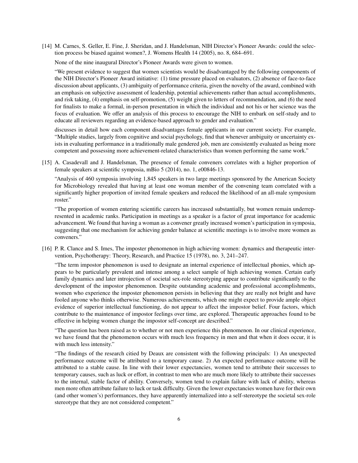[14] M. Carnes, S. Geller, E. Fine, J. Sheridan, and J. Handelsman, NIH Director's Pioneer Awards: could the selection process be biased against women?, J. Womens Health 14 (2005), no. 8, 684–691.

None of the nine inaugural Director's Pioneer Awards were given to women.

"We present evidence to suggest that women scientists would be disadvantaged by the following components of the NIH Director's Pioneer Award initiative: (1) time pressure placed on evaluators, (2) absence of face-to-face discussion about applicants, (3) ambiguity of performance criteria, given the novelty of the award, combined with an emphasis on subjective assessment of leadership, potential achievements rather than actual accomplishments, and risk taking, (4) emphasis on self-promotion, (5) weight given to letters of recommendation, and (6) the need for finalists to make a formal, in-person presentation in which the individual and not his or her science was the focus of evaluation. We offer an analysis of this process to encourage the NIH to embark on self-study and to educate all reviewers regarding an evidence-based approach to gender and evaluation."

discusses in detail how each component disadvantages female applicants in our current society. For example, "Multiple studies, largely from cognitive and social psychology, find that whenever ambiguity or uncertainty exists in evaluating performance in a traditionally male gendered job, men are consistently evaluated as being more competent and possessing more achievement-related characteristics than women performing the same work."

[15] A. Casadevall and J. Handelsman, The presence of female conveners correlates with a higher proportion of female speakers at scientific symposia, mBio 5 (2014), no. 1, e00846-13.

"Analysis of 460 symposia involving 1,845 speakers in two large meetings sponsored by the American Society for Microbiology revealed that having at least one woman member of the convening team correlated with a significantly higher proportion of invited female speakers and reduced the likelihood of an all-male symposium roster."

"The proportion of women entering scientific careers has increased substantially, but women remain underrepresented in academic ranks. Participation in meetings as a speaker is a factor of great importance for academic advancement. We found that having a woman as a convener greatly increased women's participation in symposia, suggesting that one mechanism for achieving gender balance at scientific meetings is to involve more women as conveners."

[16] P. R. Clance and S. Imes, The imposter phenomenon in high achieving women: dynamics and therapeutic intervention, Psychotherapy: Theory, Research, and Practice 15 (1978), no. 3, 241–247.

"The term impostor phenomenon is used to designate an internal experience of intellectual phonies, which appears to be particularly prevalent and intense among a select sample of high achieving women. Certain early family dynamics and later introjection of societal sex-role stereotyping appear to contribute significantly to the development of the impostor phenomenon. Despite outstanding academic and professional accomplishments, women who experience the imposter phenomenon persists in believing that they are really not bright and have fooled anyone who thinks otherwise. Numerous achievements, which one might expect to provide ample object evidence of superior intellectual functioning, do not appear to affect the impostor belief. Four factors, which contribute to the maintenance of impostor feelings over time, are explored. Therapeutic approaches found to be effective in helping women change the impostor self-concept are described."

"The question has been raised as to whether or not men experience this phenomenon. In our clinical experience, we have found that the phenomenon occurs with much less frequency in men and that when it does occur, it is with much less intensity."

"The findings of the research citied by Deaux are consistent with the following principals: 1) An unexpected performance outcome will be attributed to a temporary cause. 2) An expected performance outcome will be attributed to a stable cause. In line with their lower expectancies, women tend to attribute their successes to temporary causes, such as luck or effort, in contrast to men who are much more likely to attribute their successes to the internal, stable factor of ability. Conversely, women tend to explain failure with lack of ability, whereas men more often attribute failure to luck or task difficulty. Given the lower expectancies women have for their own (and other women's) performances, they have apparently internalized into a self-stereotype the societal sex-role stereotype that they are not considered competent."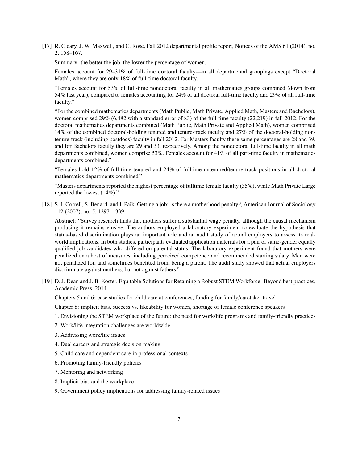[17] R. Cleary, J. W. Maxwell, and C. Rose, Fall 2012 departmental profile report, Notices of the AMS 61 (2014), no. 2, 158–167.

Summary: the better the job, the lower the percentage of women.

Females account for 29–31% of full-time doctoral faculty—in all departmental groupings except "Doctoral Math", where they are only 18% of full-time doctoral faculty.

"Females account for 53% of full-time nondoctoral faculty in all mathematics groups combined (down from 54% last year), compared to females accounting for 24% of all doctoral full-time faculty and 29% of all full-time faculty."

"For the combined mathematics departments (Math Public, Math Private, Applied Math, Masters and Bachelors), women comprised 29% (6,482 with a standard error of 83) of the full-time faculty (22,219) in fall 2012. For the doctoral mathematics departments combined (Math Public, Math Private and Applied Math), women comprised 14% of the combined doctoral-holding tenured and tenure-track faculty and 27% of the doctoral-holding nontenure-track (including postdocs) faculty in fall 2012. For Masters faculty these same percentages are 28 and 39, and for Bachelors faculty they are 29 and 33, respectively. Among the nondoctoral full-time faculty in all math departments combined, women comprise 53%. Females account for 41% of all part-time faculty in mathematics departments combined."

"Females hold 12% of full-time tenured and 24% of fulltime untenured/tenure-track positions in all doctoral mathematics departments combined."

"Masters departments reported the highest percentage of fulltime female faculty (35%), while Math Private Large reported the lowest (14%)."

[18] S. J. Correll, S. Benard, and I. Paik, Getting a job: is there a motherhood penalty?, American Journal of Sociology 112 (2007), no. 5, 1297–1339.

Abstract: "Survey research finds that mothers suffer a substantial wage penalty, although the causal mechanism producing it remains elusive. The authors employed a laboratory experiment to evaluate the hypothesis that status-based discrimination plays an important role and an audit study of actual employers to assess its realworld implications. In both studies, participants evaluated application materials for a pair of same-gender equally qualified job candidates who differed on parental status. The laboratory experiment found that mothers were penalized on a host of measures, including perceived competence and recommended starting salary. Men were not penalized for, and sometimes benefited from, being a parent. The audit study showed that actual employers discriminate against mothers, but not against fathers."

[19] D. J. Dean and J. B. Koster, Equitable Solutions for Retaining a Robust STEM Workforce: Beyond best practices, Academic Press, 2014.

Chapters 5 and 6: case studies for child care at conferences, funding for family/caretaker travel

Chapter 8: implicit bias, success vs. likeability for women, shortage of female conference speakers

- 1. Envisioning the STEM workplace of the future: the need for work/life programs and family-friendly practices
- 2. Work/life integration challenges are worldwide
- 3. Addressing work/life issues
- 4. Dual careers and strategic decision making
- 5. Child care and dependent care in professional contexts
- 6. Promoting family-friendly policies
- 7. Mentoring and networking
- 8. Implicit bias and the workplace
- 9. Government policy implications for addressing family-related issues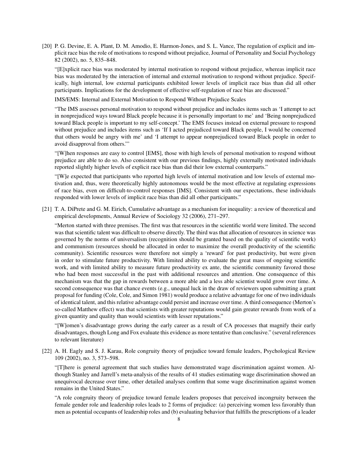[20] P. G. Devine, E. A. Plant, D. M. Amodio, E. Harmon-Jones, and S. L. Vance, The regulation of explicit and implicit race bias the role of motivations to respond without prejudice, Journal of Personality and Social Psychology 82 (2002), no. 5, 835–848.

"[E]xplicit race bias was moderated by internal motivation to respond without prejudice, whereas implicit race bias was moderated by the interaction of internal and external motivation to respond without prejudice. Specifically, high internal, low external participants exhibited lower levels of implicit race bias than did all other participants. Implications for the development of effective self-regulation of race bias are discussed."

IMS/EMS: Internal and External Motivation to Respond Without Prejudice Scales

"The IMS assesses personal motivation to respond without prejudice and includes items such as 'I attempt to act in nonprejudiced ways toward Black people because it is personally important to me' and 'Being nonprejudiced toward Black people is important to my self-concept.' The EMS focuses instead on external pressure to respond without prejudice and includes items such as 'If I acted prejudiced toward Black people, I would be concerned that others would be angry with me' and 'I attempt to appear nonprejudiced toward Black people in order to avoid disapproval from others."'

"[W]hen responses are easy to control [EMS], those with high levels of personal motivation to respond without prejudice are able to do so. Also consistent with our previous findings, highly externally motivated individuals reported slightly higher levels of explicit race bias than did their low external counterparts."

"[W]e expected that participants who reported high levels of internal motivation and low levels of external motivation and, thus, were theoretically highly autonomous would be the most effective at regulating expressions of race bias, even on difficult-to-control responses [IMS]. Consistent with our expectations, these individuals responded with lower levels of implicit race bias than did all other participants."

[21] T. A. DiPrete and G. M. Eirich, Cumulative advantage as a mechanism for inequality: a review of theoretical and empirical developments, Annual Review of Sociology 32 (2006), 271–297.

"Merton started with three premises. The first was that resources in the scientific world were limited. The second was that scientific talent was difficult to observe directly. The third was that allocation of resources in science was governed by the norms of universalism (recognition should be granted based on the quality of scientific work) and communism (resources should be allocated in order to maximize the overall productivity of the scientific community). Scientific resources were therefore not simply a 'reward' for past productivity, but were given in order to stimulate future productivity. With limited ability to evaluate the great mass of ongoing scientific work, and with limited ability to measure future productivity ex ante, the scientific community favored those who had been most successful in the past with additional resources and attention. One consequence of this mechanism was that the gap in rewards between a more able and a less able scientist would grow over time. A second consequence was that chance events (e.g., unequal luck in the draw of reviewers upon submitting a grant proposal for funding (Cole, Cole, and Simon 1981) would produce a relative advantage for one of two individuals of identical talent, and this relative advantage could persist and increase over time. A third consequence (Merton's so-called Matthew effect) was that scientists with greater reputations would gain greater rewards from work of a given quantity and quality than would scientists with lesser reputations."

"[W]omen's disadvantage grows during the early career as a result of CA processes that magnify their early disadvantages, though Long and Fox evaluate this evidence as more tentative than conclusive." (several references to relevant literature)

[22] A. H. Eagly and S. J. Karau, Role congruity theory of prejudice toward female leaders, Psychological Review 109 (2002), no. 3, 573–598.

"[T]here is general agreement that such studies have demonstrated wage discrimination against women. Although Stanley and Jarrell's meta-analysis of the results of 41 studies estimating wage discrimination showed an unequivocal decrease over time, other detailed analyses confirm that some wage discrimination against women remains in the United States."

"A role congruity theory of prejudice toward female leaders proposes that perceived incongruity between the female gender role and leadership roles leads to 2 forms of prejudice: (a) perceiving women less favorably than men as potential occupants of leadership roles and (b) evaluating behavior that fulfills the prescriptions of a leader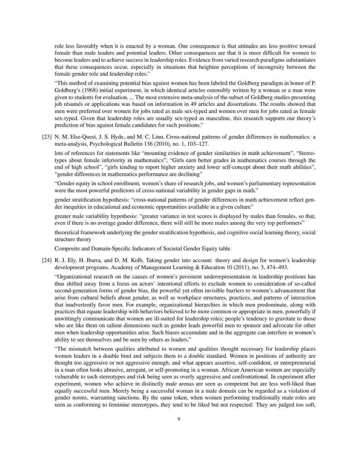role less favorably when it is enacted by a woman. One consequence is that attitudes are less positive toward female than male leaders and potential leaders. Other consequences are that it is more difficult for women to become leaders and to achieve success in leadership roles. Evidence from varied research paradigms substantiates that these consequences occur, especially in situations that heighten perceptions of incongruity between the female gender role and leadership roles."

"This method of examining potential bias against women has been labeled the Goldberg paradigm in honor of P. Goldberg's (1968) initial experiment, in which identical articles ostensibly written by a woman or a man were given to students for evaluation. ... The most extensive meta-analysis of the subset of Goldberg studies presenting job résumés or applications was based on information in 49 articles and dissertations. The results showed that men were preferred over women for jobs rated as male sex-typed and women over men for jobs rated as female sex-typed. Given that leadership roles are usually sex-typed as masculine, this research supports our theory's prediction of bias against female candidates for such positions."

[23] N. M. Else-Quest, J. S. Hyde, and M. C. Linn, Cross-national patterns of gender differences in mathematics: a meta-analysis, Psychological Bulletin 136 (2010), no. 1, 103–127.

lots of references for statements like "mounting evidence of gender similarities in math achievement", "Stereotypes about female inferiority in mathematics", "Girls earn better grades in mathematics courses through the end of high school", "girls tending to report higher anxiety and lower self-concept about their math abilities", "gender differences in mathematics performance are declining"

"Gender equity in school enrollment, women's share of research jobs, and women's parliamentary representation were the most powerful predictors of cross-national variability in gender gaps in math."

gender stratification hypothesis: "cross-national patterns of gender differences in math achievement reflect gender inequities in educational and economic opportunities available in a given culture"

greater male variability hypothesis: "greater variance in test scores is displayed by males than females, so that, even if there is no average gender difference, there will still be more males among the very top performers"

theoretical framework underlying the gender stratification hypothesis, and cognitive social learning theory, social structure theory

Composite and Domain-Specific Indicators of Societal Gender Equity table

[24] R. J. Ely, H. Ibarra, and D. M. Kolb, Taking gender into account: theory and design for women's leadership development programs, Academy of Management Learning & Education 10 (2011), no. 3, 474–493.

"Organizational research on the causes of women's persistent underrepresentation in leadership positions has thus shifted away from a focus on actors' intentional efforts to exclude women to consideration of so-called second-generation forms of gender bias, the powerful yet often invisible barriers to women's advancement that arise from cultural beliefs about gender, as well as workplace structures, practices, and patterns of interaction that inadvertently favor men. For example, organizational hierarchies in which men predominate, along with practices that equate leadership with behaviors believed to be more common or appropriate in men, powerfully if unwittingly communicate that women are ill-suited for leadership roles; people's tendency to gravitate to those who are like them on salient dimensions such as gender leads powerful men to sponsor and advocate for other men when leadership opportunities arise. Such biases accumulate and in the aggregate can interfere in women's ability to see themselves and be seen by others as leaders."

"The mismatch between qualities attributed to women and qualities thought necessary for leadership places women leaders in a double bind and subjects them to a double standard. Women in positions of authority are thought too aggressive or not aggressive enough, and what appears assertive, self-confident, or entrepreneurial in a man often looks abrasive, arrogant, or self-promoting in a woman. African American women are especially vulnerable to such stereotypes and risk being seen as overly aggressive and confrontational. In experiment after experiment, women who achieve in distinctly male arenas are seen as competent but are less well-liked than equally successful men. Merely being a successful woman in a male domain can be regarded as a violation of gender norms, warranting sanctions. By the same token, when women performing traditionally male roles are seen as conforming to feminine stereotypes, they tend to be liked but not respected: They are judged too soft,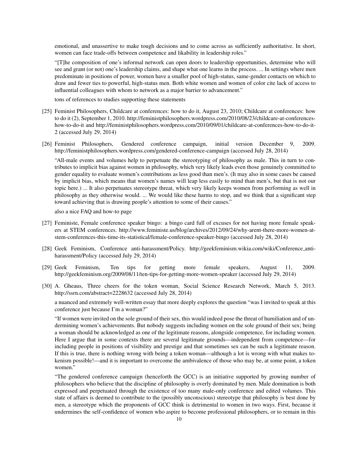emotional, and unassertive to make tough decisions and to come across as sufficiently authoritative. In short, women can face trade-offs between competence and likability in leadership roles."

"[T]he composition of one's informal network can open doors to leadership opportunities, determine who will see and grant (or not) one's leadership claims, and shape what one learns in the process. ... In settings where men predominate in positions of power, women have a smaller pool of high-status, same-gender contacts on which to draw and fewer ties to powerful, high-status men. Both white women and women of color cite lack of access to influential colleagues with whom to network as a major barrier to advancement."

tons of references to studies supporting these statements

- [25] Feminist Philosophers, Childcare at conferences: how to do it, August 23, 2010; Childcare at conferences: how to do it (2), September 1, 2010. http://feministphilosophers.wordpress.com/2010/08/23/childcare-at-conferenceshow-to-do-it and http://feministphilosophers.wordpress.com/2010/09/01/childcare-at-conferences-how-to-do-it-2 (accessed July 29, 2014)
- [26] Feminist Philosophers, Gendered conference campaign, initial version December 9, 2009. http://feministphilosophers.wordpress.com/gendered-conference-campaign (accessed July 28, 2014)

"All-male events and volumes help to perpetuate the stereotyping of philosophy as male. This in turn to contributes to implicit bias against women in philosophy, which very likely leads even those genuinely committed to gender equality to evaluate women's contributions as less good than men's. (It may also in some cases be caused by implicit bias, which means that women's names will leap less easily to mind than men's, but that is not our topic here.) ... It also perpetuates stereotype threat, which very likely keeps women from performing as well in philosophy as they otherwise would. ... We would like these harms to stop, and we think that a significant step toward achieving that is drawing people's attention to some of their causes."

also a nice FAQ and how-to page

- [27] Feministe, Female conference speaker bingo: a bingo card full of excuses for not having more female speakers at STEM conferences. http://www.feministe.us/blog/archives/2012/09/24/why-arent-there-more-women-atstem-conferences-this-time-its-statistical/female-conference-speaker-bingo (accessed July 28, 2014)
- [28] Geek Feminism, Conference anti-harassment/Policy. http://geekfeminism.wikia.com/wiki/Conference antiharassment/Policy (accessed July 29, 2014)
- [29] Geek Feminism, Ten tips for getting more female speakers, August 11, 2009. http://geekfeminism.org/2009/08/11/ten-tips-for-getting-more-women-speaker (accessed July 29, 2014)
- [30] A. Gheaus, Three cheers for the token woman, Social Science Research Network, March 5, 2013. http://ssrn.com/abstract=2228632 (accessed July 28, 2014)

a nuanced and extremely well-written essay that more deeply explores the question "was I invited to speak at this conference just because I'm a woman?"

"If women were invited on the sole ground of their sex, this would indeed pose the threat of humiliation and of undermining women's achievements. But nobody suggests including women on the sole ground of their sex; being a woman should be acknowledged as one of the legitimate reasons, alongside competence, for including women. Here I argue that in some contexts there are several legitimate grounds—independent from competence—for including people in positions of visibility and prestige and that sometimes sex can be such a legitimate reason. If this is true, there is nothing wrong with being a token woman—although a lot is wrong with what makes tokenism possible!—and it is important to overcome the ambivalence of those who may be, at some point, a token women."

"The gendered conference campaign (henceforth the GCC) is an initiative supported by growing number of philosophers who believe that the discipline of philosophy is overly dominated by men. Male domination is both expressed and perpetuated through the existence of too many male-only conference and edited volumes. This state of affairs is deemed to contribute to the (possibly unconscious) stereotype that philosophy is best done by men, a stereotype which the proponents of GCC think is detrimental to women in two ways. First, because it undermines the self-confidence of women who aspire to become professional philosophers, or to remain in this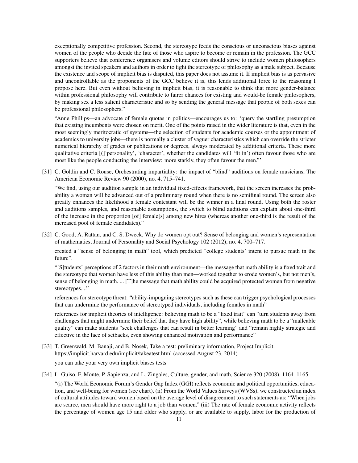exceptionally competitive profession. Second, the stereotype feeds the conscious or unconscious biases against women of the people who decide the fate of those who aspire to become or remain in the profession. The GCC supporters believe that conference organisers and volume editors should strive to include women philosophers amongst the invited speakers and authors in order to fight the stereotype of philosophy as a male subject. Because the existence and scope of implicit bias is disputed, this paper does not assume it. If implicit bias is as pervasive and uncontrollable as the proponents of the GCC believe it is, this lends additional force to the reasoning I propose here. But even without believing in implicit bias, it is reasonable to think that more gender-balance within professional philosophy will contribute to fairer chances for existing and would-be female philosophers, by making sex a less salient characteristic and so by sending the general message that people of both sexes can be professional philosophers."

"Anne Phillips—an advocate of female quotas in politics—encourages us to: 'query the startling presumption that existing incumbents were chosen on merit. One of the points raised in the wider literature is that, even in the most seemingly meritocratic of systems—the selection of students for academic courses or the appointment of academics to university jobs—there is normally a cluster of vaguer characteristics which can override the stricter numerical hierarchy of grades or publications or degrees, always moderated by additional criteria. These more qualitative criteria [(]'personality', 'character', whether the candidates will 'fit in') often favour those who are most like the people conducting the interview: more starkly, they often favour the men."'

[31] C. Goldin and C. Rouse, Orchestrating impartiality: the impact of "blind" auditions on female musicians, The American Economic Review 90 (2000), no. 4, 715–741.

"We find, using our audition sample in an individual fixed-effects framework, that the screen increases the probability a woman will be advanced out of a preliminary round when there is no semifinal round. The screen also greatly enhances the likelihood a female contestant will be the winner in a final round. Using both the roster and auditions samples, and reasonable assumptions, the switch to blind auditions can explain about one-third of the increase in the proportion [of] female[s] among new hires (whereas another one-third is the result of the increased pool of female candidates)."

[32] C. Good, A. Rattan, and C. S. Dweck, Why do women opt out? Sense of belonging and women's representation of mathematics, Journal of Personality and Social Psychology 102 (2012), no. 4, 700–717.

created a "sense of belonging in math" tool, which predicted "college students' intent to pursue math in the future".

"[S]tudents' perceptions of 2 factors in their math environment—the message that math ability is a fixed trait and the stereotype that women have less of this ability than men—worked together to erode women's, but not men's, sense of belonging in math. ... [T]he message that math ability could be acquired protected women from negative stereotypes...."

references for stereotype threat: "ability-impugning stereotypes such as these can trigger psychological processes that can undermine the performance of stereotyped individuals, including females in math"

references for implicit theories of intelligence: believing math to be a "fixed trait" can "turn students away from challenges that might undermine their belief that they have high ability", while believing math to be a "malleable quality" can make students "seek challenges that can result in better learning" and "remain highly strategic and effective in the face of setbacks, even showing enhanced motivation and performance"

[33] T. Greenwald, M. Banaji, and B. Nosek, Take a test: preliminary information, Project Implicit. https://implicit.harvard.edu/implicit/takeatest.html (accessed August 23, 2014)

you can take your very own implicit biases tests

[34] L. Guiso, F. Monte, P. Sapienza, and L. Zingales, Culture, gender, and math, Science 320 (2008), 1164–1165.

"(i) The World Economic Forum's Gender Gap Index (GGI) reflects economic and political opportunities, education, and well-being for women (see chart). (ii) From the World Values Surveys (WVSs), we constructed an index of cultural attitudes toward women based on the average level of disagreement to such statements as: "When jobs are scarce, men should have more right to a job than women." (iii) The rate of female economic activity reflects the percentage of women age 15 and older who supply, or are available to supply, labor for the production of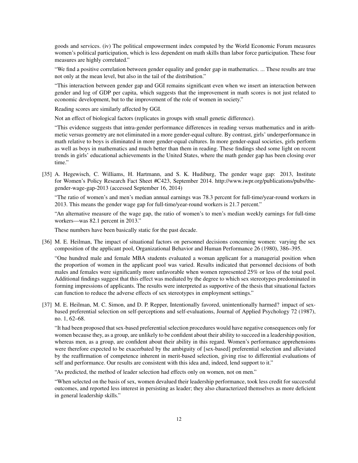goods and services. (iv) The political empowerment index computed by the World Economic Forum measures women's political participation, which is less dependent on math skills than labor force participation. These four measures are highly correlated."

"We find a positive correlation between gender equality and gender gap in mathematics. ... These results are true not only at the mean level, but also in the tail of the distribution."

"This interaction between gender gap and GGI remains significant even when we insert an interaction between gender and log of GDP per capita, which suggests that the improvement in math scores is not just related to economic development, but to the improvement of the role of women in society."

Reading scores are similarly affected by GGI.

Not an effect of biological factors (replicates in groups with small genetic difference).

"This evidence suggests that intra-gender performance differences in reading versus mathematics and in arithmetic versus geometry are not eliminated in a more gender-equal culture. By contrast, girls' underperformance in math relative to boys is eliminated in more gender-equal cultures. In more gender-equal societies, girls perform as well as boys in mathematics and much better than them in reading. These findings shed some light on recent trends in girls' educational achievements in the United States, where the math gender gap has been closing over time."

[35] A. Hegewisch, C. Williams, H. Hartmann, and S. K. Hudiburg, The gender wage gap: 2013, Institute for Women's Policy Research Fact Sheet #C423, September 2014. http://www.iwpr.org/publications/pubs/thegender-wage-gap-2013 (accessed September 16, 2014)

"The ratio of women's and men's median annual earnings was 78.3 percent for full-time/year-round workers in 2013. This means the gender wage gap for full-time/year-round workers is 21.7 percent."

"An alternative measure of the wage gap, the ratio of women's to men's median weekly earnings for full-time workers—was 82.1 percent in 2013."

These numbers have been basically static for the past decade.

[36] M. E. Heilman, The impact of situational factors on personnel decisions concerning women: varying the sex composition of the applicant pool, Organizational Behavior and Human Performance 26 (1980), 386–395.

"One hundred male and female MBA students evaluated a woman applicant for a managerial position when the proportion of women in the applicant pool was varied. Results indicated that personnel decisions of both males and females were significantly more unfavorable when women represented 25% or less of the total pool. Additional findings suggest that this effect was mediated by the degree to which sex stereotypes predominated in forming impressions of applicants. The results were interpreted as supportive of the thesis that situational factors can function to reduce the adverse effects of sex stereotypes in employment settings."

[37] M. E. Heilman, M. C. Simon, and D. P. Repper, Intentionally favored, unintentionally harmed? impact of sexbased preferential selection on self-perceptions and self-evaluations, Journal of Applied Psychology 72 (1987), no. 1, 62–68.

"It had been proposed that sex-based preferential selection procedures would have negative consequences only for women because they, as a group, are unlikely to be confident about their ability to succeed in a leadership position, whereas men, as a group, are confident about their ability in this regard. Women's performance apprehensions were therefore expected to be exacerbated by the ambiguity of [sex-based] preferential selection and alleviated by the reaffirmation of competence inherent in merit-based selection, giving rise to differential evaluations of self and performance. Our results are consistent with this idea and, indeed, lend support to it."

"As predicted, the method of leader selection had effects only on women, not on men."

"When selected on the basis of sex, women devalued their leadership performance, took less credit for successful outcomes, and reported less interest in persisting as leader; they also characterized themselves as more deficient in general leadership skills."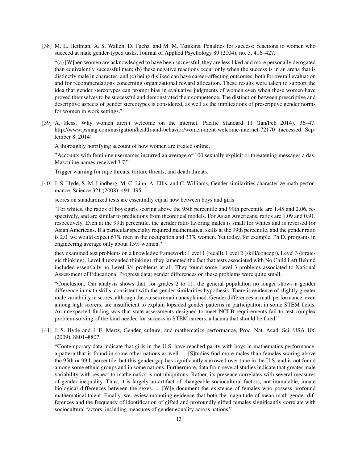[38] M. E. Heilman, A. S. Wallen, D. Fuchs, and M. M. Tamkins, Penalties for success: reactions to women who succeed at male gender-typed tasks, Journal of Applied Psychology 89 (2004), no. 3, 416–427.

"(a) [W]hen women are acknowledged to have been successful, they are less liked and more personally derogated than equivalently successful men; (b) these negative reactions occur only when the success is in an arena that is distinctly male in character; and (c) being disliked can have career-affecting outcomes, both for overall evaluation and for recommendations concerning organizational reward allocation. These results were taken to support the idea that gender stereotypes can prompt bias in evaluative judgments of women even when these women have proved themselves to be successful and demonstrated their competence. The distinction between prescriptive and descriptive aspects of gender stereotypes is considered, as well as the implications of prescriptive gender norms for women in work settings."

[39] A. Hess, Why women aren't welcome on the internet, Pacific Standard 11 (Jan/Feb 2014), 36–47. http://www.psmag.com/navigation/health-and-behavior/women-arent-welcome-internet-72170 (accessed September 8, 2014)

A thoroughly horrifying account of how women are treated online.

"Accounts with feminine usernames incurred an average of 100 sexually explicit or threatening messages a day. Masculine names received 3.7."

Trigger warning for rape threats, torture threats, and death threats.

[40] J. S. Hyde, S. M. Lindberg, M. C. Linn, A. Ellis, and C. Williams, Gender similarities characterize math performance, Science 321 (2008), 494–495.

scores on standardized tests are essentially equal now between boys and girls

"For whites, the ratios of boys:girls scoring above the 95th percentile and 99th percentile are 1.45 and 2.06, respectively, and are similar to predictions from theoretical models. For Asian Americans, ratios are 1.09 and 0.91, respectively. Even at the 99th percentile, the gender ratio favoring males is small for whites and is reversed for Asian Americans. If a particular specialty required mathematical skills at the 99th percentile, and the gender ratio is 2.0, we would expect 67% men in the occupation and 33% women. Yet today, for example, Ph.D. prorgams in engineering average only about 15% women."

they examined test problems on a knowledge framework: Level 1 (recall), Level 2 (skill/concept), Level 3 (strategic thinking), Level 4 (extended thinking). they lamented the fact that tests associated with No Child Left Behind included essentially no Level 3/4 problems at all. They found some Level 3 problems associated to National Assessment of Educational Progress data; gender differences on these problems were quite small.

"Conclusion. Our analysis shows that, for grades 2 to 11, the general population no longer shows a gender difference in math skills, consistent with the gender similarities hypothesis. There is evidence of slightly greater male variability in scores, although the causes remain unexplained. Gender differences in math performance, even among high scorers, are insufficient to explain lopsided gender patterns in participation in some STEM fields. An unexpected finding was that state assessments designed to meet NCLB requirements fail to test complex problem-solving of the kind needed for success in STEM careers, a lacuna that should be fixed."

[41] J. S. Hyde and J. E. Mertz, Gender, culture, and mathematics performance, Proc. Nat. Acad. Sci. USA 106 (2009), 8801–8807.

"Contemporary data indicate that girls in the U.S. have reached parity with boys in mathematics performance, a pattern that is found in some other nations as well. ... [S]tudies find more males than females scoring above the 95th or 99th percentile, but this gender gap has significantly narrowed over time in the U.S. and is not found among some ethnic groups and in some nations. Furthermore, data from several studies indicate that greater male variability with respect to mathematics is not ubiquitous. Rather, its presence correlates with several measures of gender inequality. Thus, it is largely an artifact of changeable sociocultural factors, not immutable, innate biological differences between the sexes. ... [W]e document the existence of females who possess profound mathematical talent. Finally, we review mounting evidence that both the magnitude of mean math gender differences and the frequency of identification of gifted and profoundly gifted females significantly correlate with sociocultural factors, including measures of gender equality across nations."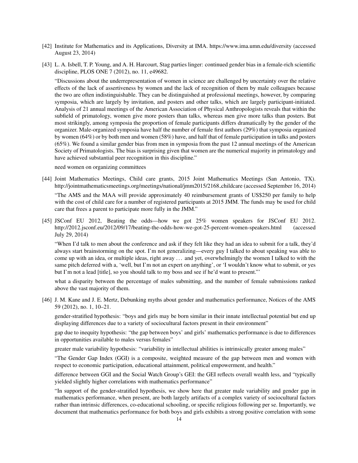- [42] Institute for Mathematics and its Applications, Diversity at IMA. https://www.ima.umn.edu/diversity (accessed August 23, 2014)
- [43] L. A. Isbell, T. P. Young, and A. H. Harcourt, Stag parties linger: continued gender bias in a female-rich scientific discipline, PLOS ONE 7 (2012), no. 11, e49682.

"Discussions about the underrepresentation of women in science are challenged by uncertainty over the relative effects of the lack of assertiveness by women and the lack of recognition of them by male colleagues because the two are often indistinguishable. They can be distinguished at professional meetings, however, by comparing symposia, which are largely by invitation, and posters and other talks, which are largely participant-initiated. Analysis of 21 annual meetings of the American Association of Physical Anthropologists reveals that within the subfield of primatology, women give more posters than talks, whereas men give more talks than posters. But most strikingly, among symposia the proportion of female participants differs dramatically by the gender of the organizer. Male-organized symposia have half the number of female first authors (29%) that symposia organized by women (64%) or by both men and women (58%) have, and half that of female participation in talks and posters (65%). We found a similar gender bias from men in symposia from the past 12 annual meetings of the American Society of Primatologists. The bias is surprising given that women are the numerical majority in primatology and have achieved substantial peer recognition in this discipline."

need women on organizing committees

[44] Joint Mathematics Meetings, Child care grants, 2015 Joint Mathematics Meetings (San Antonio, TX). http://jointmathematicsmeetings.org/meetings/national/jmm2015/2168 childcare (accessed September 16, 2014)

"The AMS and the MAA will provide approximately 40 reimbursement grants of US\$250 per family to help with the cost of child care for a number of registered participants at 2015 JMM. The funds may be used for child care that frees a parent to participate more fully in the JMM."

[45] JSConf EU 2012, Beating the odds—how we got 25% women speakers for JSConf EU 2012. http://2012.jsconf.eu/2012/09/17/beating-the-odds-how-we-got-25-percent-women-speakers.html (accessed July 29, 2014)

"When I'd talk to men about the conference and ask if they felt like they had an idea to submit for a talk, they'd always start brainstorming on the spot. I'm not generalizing—every guy I talked to about speaking was able to come up with an idea, or multiple ideas, right away . . . and yet, overwhelmingly the women I talked to with the same pitch deferred with a, 'well, but I'm not an expert on anything', or 'I wouldn't know what to submit, or yes but I'm not a lead [title], so you should talk to my boss and see if he'd want to present."'

what a disparity between the percentage of males submitting, and the number of female submissions ranked above the vast majority of them.

[46] J. M. Kane and J. E. Mertz, Debunking myths about gender and mathematics performance, Notices of the AMS 59 (2012), no. 1, 10–21.

gender-stratified hypothesis: "boys and girls may be born similar in their innate intellectual potential but end up displaying differences due to a variety of sociocultural factors present in their environment"

gap due to inequity hypothesis: "the gap between boys' and girls' mathematics performance is due to differences in opportunities available to males versus females"

greater male variability hypothesis: "variability in intellectual abilities is intrinsically greater among males"

"The Gender Gap Index (GGI) is a composite, weighted measure of the gap between men and women with respect to economic participation, educational attainment, political empowerment, and health."

difference between GGI and the Social Watch Group's GEI: the GEI reflects overall wealth less, and "typically yielded slightly higher correlations with mathematics performance"

"In support of the gender-stratified hypothesis, we show here that greater male variability and gender gap in mathematics performance, when present, are both largely artifacts of a complex variety of sociocultural factors rather than intrinsic differences, co-educational schooling, or specific religious following per se. Importantly, we document that mathematics performance for both boys and girls exhibits a strong positive correlation with some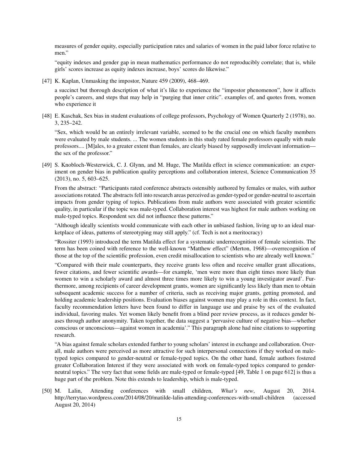measures of gender equity, especially participation rates and salaries of women in the paid labor force relative to men."

"equity indexes and gender gap in mean mathematics performance do not reproducibly correlate; that is, while girls' scores increase as equity indexes increase, boys' scores do likewise."

[47] K. Kaplan, Unmasking the impostor, Nature 459 (2009), 468–469.

a succinct but thorough description of what it's like to experience the "impostor phenomenon", how it affects people's careers, and steps that may help in "purging that inner critic". examples of, and quotes from, women who experience it

[48] E. Kaschak, Sex bias in student evaluations of college professors, Psychology of Women Quarterly 2 (1978), no. 3, 235–242.

"Sex, which would be an entirely irrelevant variable, seemed to be the crucial one on which faculty members were evaluated by male students. ... The women students in this study rated female professors equally with male professors.... [M]ales, to a greater extent than females, are clearly biased by supposedly irrelevant information the sex of the professor."

[49] S. Knobloch-Westerwick, C. J. Glynn, and M. Huge, The Matilda effect in science communication: an experiment on gender bias in publication quality perceptions and collaboration interest, Science Communication 35 (2013), no. 5, 603–625.

From the abstract: "Participants rated conference abstracts ostensibly authored by females or males, with author associations rotated. The abstracts fell into research areas perceived as gender-typed or gender-neutral to ascertain impacts from gender typing of topics. Publications from male authors were associated with greater scientific quality, in particular if the topic was male-typed. Collaboration interest was highest for male authors working on male-typed topics. Respondent sex did not influence these patterns."

"Although ideally scientists would communicate with each other in unbiased fashion, living up to an ideal marketplace of ideas, patterns of stereotyping may still apply." (cf. Tech is not a meritocracy)

"Rossiter (1993) introduced the term Matilda effect for a systematic underrecognition of female scientists. The term has been coined with reference to the well-known "Matthew effect" (Merton, 1968)—overrecognition of those at the top of the scientific profession, even credit misallocation to scientists who are already well known."

"Compared with their male counterparts, they receive grants less often and receive smaller grant allocations, fewer citations, and fewer scientific awards—for example, 'men were more than eight times more likely than women to win a scholarly award and almost three times more likely to win a young investigator award'. Furthermore, among recipients of career development grants, women are significantly less likely than men to obtain subsequent academic success for a number of criteria, such as receiving major grants, getting promoted, and holding academic leadership positions. Evaluation biases against women may play a role in this context. In fact, faculty recommendation letters have been found to differ in language use and praise by sex of the evaluated individual, favoring males. Yet women likely benefit from a blind peer review process, as it reduces gender biases through author anonymity. Taken together, the data suggest a 'pervasive culture of negative bias—whether conscious or unconscious—against women in academia'." This paragraph alone had nine citations to supporting research.

"A bias against female scholars extended further to young scholars' interest in exchange and collaboration. Overall, male authors were perceived as more attractive for such interpersonal connections if they worked on maletyped topics compared to gender-neutral or female-typed topics. On the other hand, female authors fostered greater Collaboration Interest if they were associated with work on female-typed topics compared to genderneutral topics." The very fact that some fields are male-typed or female-typed [49, Table 1 on page 612] is thus a huge part of the problem. Note this extends to leadership, which is male-typed.

[50] M. Lalin, Attending conferences with small children, *What's new*, August 20, 2014. http://terrytao.wordpress.com/2014/08/20/matilde-lalin-attending-conferences-with-small-children (accessed August 20, 2014)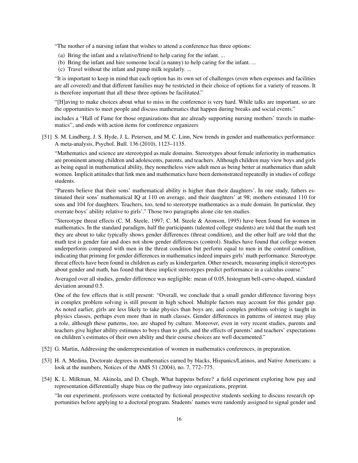"The mother of a nursing infant that wishes to attend a conference has three options:

- (a) Bring the infant and a relative/friend to help caring for the infant. ...
- (b) Bring the infant and hire someone local (a nanny) to help caring for the infant. ...
- (c) Travel without the infant and pump milk regularly. ...

"It is important to keep in mind that each option has its own set of challenges (even when expenses and facilities are all covered) and that different families may be restricted in their choice of options for a variety of reasons. It is therefore important that all these three options be facilitated."

"[H]aving to make choices about what to miss in the conference is very hard. While talks are important, so are the opportunities to meet people and discuss mathematics that happen during breaks and social events."

includes a "Hall of Fame for those organizations that are already supporting nursing mothers' travels in mathematics", and ends with action items for conference organizers

[51] S. M. Lindberg, J. S. Hyde, J. L. Petersen, and M. C. Linn, New trends in gender and mathematics performance: A meta-analysis, Psychol. Bull. 136 (2010), 1123–1135.

"Mathematics and science are stereotyped as male domains. Stereotypes about female inferiority in mathematics are prominent among children and adolescents, parents, and teachers. Although children may view boys and girls as being equal in mathematical ability, they nonetheless view adult men as being better at mathematics than adult women. Implicit attitudes that link men and mathematics have been demonstrated repeatedly in studies of college students.

"Parents believe that their sons' mathematical ability is higher than their daughters'. In one study, fathers estimated their sons' mathematical IQ at 110 on average, and their daughters' at 98; mothers estimated 110 for sons and 104 for daughters. Teachers, too, tend to stereotype mathematics as a male domain. In particular, they overrate boys' ability relative to girls'." Those two paragraphs alone cite ten studies.

"Stereotype threat effects (C. M. Steele, 1997; C. M. Steele & Aronson, 1995) have been found for women in mathematics. In the standard paradigm, half the participants (talented college students) are told that the math test they are about to take typically shows gender differences (threat condition), and the other half are told that the math test is gender fair and does not show gender differences (control). Studies have found that college women underperform compared with men in the threat condition but perform equal to men in the control condition, indicating that priming for gender differences in mathematics indeed impairs girls' math performance. Stereotype threat effects have been found in children as early as kindergarten. Other research, measuring implicit stereotypes about gender and math, has found that these implicit stereotypes predict performance in a calculus course."

Averaged over all studies, gender difference was negligible: mean of 0.05, histogram bell-curve-shaped, standard deviation around 0.5.

One of the few effects that is still present: "Overall, we conclude that a small gender difference favoring boys in complex problem solving is still present in high school. Multiple factors may account for this gender gap. As noted earlier, girls are less likely to take physics than boys are, and complex problem solving is taught in physics classes, perhaps even more than in math classes. Gender differences in patterns of interest may play a role, although these patterns, too, are shaped by culture. Moreover, even in very recent studies, parents and teachers give higher ability estimates to boys than to girls, and the effects of parents' and teachers' expectations on children's estimates of their own ability and their course choices are well documented."

- [52] G. Martin, Addressing the underrepresentation of women in mathematics conferences, in preparation.
- [53] H. A. Medina, Doctorate degrees in mathematics earned by blacks, Hispanics/Latinos, and Native Americans: a look at the numbers, Notices of the AMS 51 (2004), no. 7, 772–775.
- [54] K. L. Milkman, M. Akinola, and D. Chugh, What happens before? a field experiment exploring how pay and representation differentially shape bias on the pathway into organizations, preprint.

"In our experiment, professors were contacted by fictional prospective students seeking to discuss research opportunities before applying to a doctoral program. Students' names were randomly assigned to signal gender and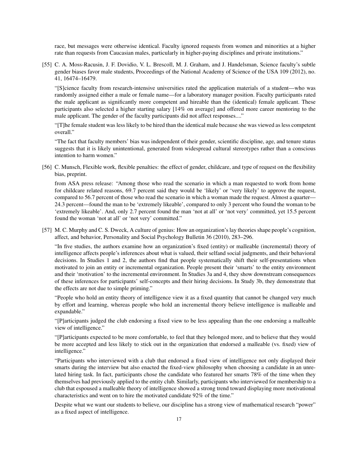race, but messages were otherwise identical. Faculty ignored requests from women and minorities at a higher rate than requests from Caucasian males, particularly in higher-paying disciplines and private institutions."

[55] C. A. Moss-Racusin, J. F. Dovidio, V. L. Brescoll, M. J. Graham, and J. Handelsman, Science faculty's subtle gender biases favor male students, Proceedings of the National Academy of Science of the USA 109 (2012), no. 41, 16474–16479.

"[S]cience faculty from research-intensive universities rated the application materials of a student—who was randomly assigned either a male or female name—for a laboratory manager position. Faculty participants rated the male applicant as significantly more competent and hireable than the (identical) female applicant. These participants also selected a higher starting salary [14% on average] and offered more career mentoring to the male applicant. The gender of the faculty participants did not affect responses...."

"[T]he female student was less likely to be hired than the identical male because she was viewed as less competent overall."

"The fact that faculty members' bias was independent of their gender, scientific discipline, age, and tenure status suggests that it is likely unintentional, generated from widespread cultural stereotypes rather than a conscious intention to harm women."

[56] C. Munsch, Flexible work, flexible penalties: the effect of gender, childcare, and type of request on the flexibility bias, preprint.

from ASA press release: "Among those who read the scenario in which a man requested to work from home for childcare related reasons, 69.7 percent said they would be 'likely' or 'very likely' to approve the request, compared to 56.7 percent of those who read the scenario in which a woman made the request. Almost a quarter— 24.3 percent—found the man to be 'extremely likeable', compared to only 3 percent who found the woman to be 'extremely likeable'. And, only 2.7 percent found the man 'not at all' or 'not very' committed, yet 15.5 percent found the woman 'not at all' or 'not very' committed."

[57] M. C. Murphy and C. S. Dweck, A culture of genius: How an organization's lay theories shape people's cognition, affect, and behavior, Personality and Social Psychology Bulletin 36 (2010), 283–296.

"In five studies, the authors examine how an organization's fixed (entity) or malleable (incremental) theory of intelligence affects people's inferences about what is valued, their selfand social judgments, and their behavioral decisions. In Studies 1 and 2, the authors find that people systematically shift their self-presentations when motivated to join an entity or incremental organization. People present their 'smarts' to the entity environment and their 'motivation' to the incremental environment. In Studies 3a and 4, they show downstream consequences of these inferences for participants' self-concepts and their hiring decisions. In Study 3b, they demonstrate that the effects are not due to simple priming."

"People who hold an entity theory of intelligence view it as a fixed quantity that cannot be changed very much by effort and learning, whereas people who hold an incremental theory believe intelligence is malleable and expandable."

"[P]articipants judged the club endorsing a fixed view to be less appealing than the one endorsing a malleable view of intelligence."

"[P]articipants expected to be more comfortable, to feel that they belonged more, and to believe that they would be more accepted and less likely to stick out in the organization that endorsed a malleable (vs. fixed) view of intelligence."

"Participants who interviewed with a club that endorsed a fixed view of intelligence not only displayed their smarts during the interview but also enacted the fixed-view philosophy when choosing a candidate in an unrelated hiring task. In fact, participants chose the candidate who featured her smarts 78% of the time when they themselves had previously applied to the entity club. Similarly, participants who interviewed for membership to a club that espoused a malleable theory of intelligence showed a strong trend toward displaying more motivational characteristics and went on to hire the motivated candidate 92% of the time."

Despite what we want our students to believe, our discipline has a strong view of mathematical research "power" as a fixed aspect of intelligence.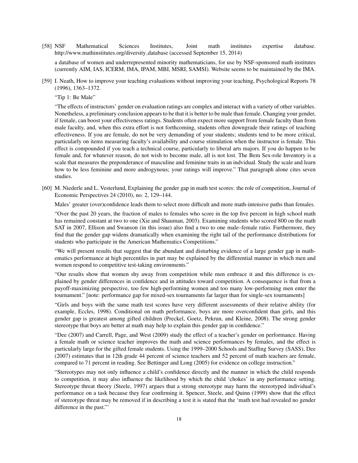[58] NSF Mathematical Sciences Institutes, Joint math institutes expertise database. http://www.mathinstitutes.org/diversity database (accessed September 15, 2014)

a database of women and underrepresented minority mathematicians, for use by NSF-sponsored math institutes (currently AIM, IAS, ICERM, IMA, IPAM, MBI, MSRI, SAMSI). Website seems to be maintained by the IMA.

[59] I. Neath, How to improve your teaching evaluations without improving your teaching, Psychological Reports 78 (1996), 1363–1372.

"Tip 1: Be Male"

"The effects of instructors' gender on evaluation ratings are complex and interact with a variety of other variables. Nonetheless, a preliminary conclusion appears to be that it is better to be male than female. Changing your gender, if female, can boost your effectiveness ratings. Students often expect more support from female faculty than from male faculty, and, when this extra effort is not forthcoming, students often downgrade their ratings of teaching effectiveness. If you are female, do not be very demanding of your students; students tend to be more critical, particularly on items measuring faculty's availability and course stimulation when the instructor is female. This effect is compounded if you teach a technical course, particularly to liberal arts majors. If you do happen to be female and, for whatever reason, do not wish to become male, all is not lost. The Bem Sex-role Inventory is a scale that measures the preponderance of masculine and feminine traits in an indvidual. Study the scale and learn how to be less feminine and more androgynous; your ratings will improve." That paragraph alone cites seven studies.

[60] M. Niederle and L. Vesterlund, Explaining the gender gap in math test scores: the role of competition, Journal of Economic Perspectives 24 (2010), no. 2, 129–144.

Males' greater (over)confidence leads them to select more difficult and more math-intensive paths than females.

"Over the past 20 years, the fraction of males to females who score in the top five percent in high school math has remained constant at two to one (Xie and Shauman, 2003). Examining students who scored 800 on the math SAT in 2007, Ellison and Swanson (in this issue) also find a two to one male–female ratio. Furthermore, they find that the gender gap widens dramatically when examining the right tail of the performance distributions for students who participate in the American Mathematics Competitions."

"We will present results that suggest that the abundant and disturbing evidence of a large gender gap in mathematics performance at high percentiles in part may be explained by the differential manner in which men and women respond to competitive test-taking environments."

"Our results show that women shy away from competition while men embrace it and this difference is explained by gender differences in confidence and in attitudes toward competition. A consequence is that from a payoff-maximizing perspective, too few high-performing women and too many low-performing men enter the tournament." [note: performance gap for mixed-sex tournaments far larger than for single-sex tournaments]

"Girls and boys with the same math test scores have very different assessments of their relative ability (for example, Eccles, 1998). Conditional on math performance, boys are more overconfident than girls, and this gender gap is greatest among gifted children (Preckel, Goetz, Pekrun, and Kleine, 2008). The strong gender stereotype that boys are better at math may help to explain this gender gap in confidence."

"Dee (2007) and Carrell, Page, and West (2009) study the effect of a teacher's gender on performance. Having a female math or science teacher improves the math and science performances by females, and the effect is particularly large for the gifted female students. Using the 1999–2000 Schools and Staffing Survey (SASS), Dee (2007) estimates that in 12th grade 44 percent of science teachers and 52 percent of math teachers are female, compared to 71 percent in reading. See Bettinger and Long (2005) for evidence on college instruction."

"Stereotypes may not only influence a child's confidence directly and the manner in which the child responds to competition, it may also influence the likelihood by which the child 'chokes' in any performance setting. Stereotype threat theory (Steele, 1997) argues that a strong stereotype may harm the stereotyped individual's performance on a task because they fear confirming it. Spencer, Steele, and Quinn (1999) show that the effect of stereotype threat may be removed if in describing a test it is stated that the 'math test had revealed no gender difference in the past."'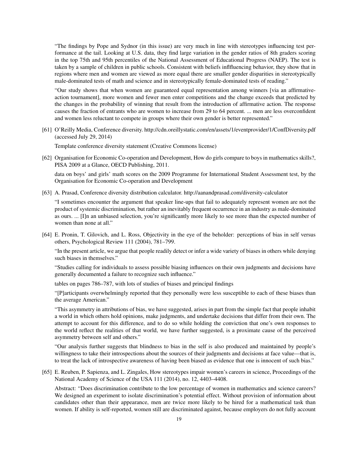"The findings by Pope and Sydnor (in this issue) are very much in line with stereotypes influencing test performance at the tail. Looking at U.S. data, they find large variation in the gender ratios of 8th graders scoring in the top 75th and 95th percentiles of the National Assessment of Educational Progress (NAEP). The test is taken by a sample of children in public schools. Consistent with beliefs inflfluencing behavior, they show that in regions where men and women are viewed as more equal there are smaller gender disparities in stereotypically male-dominated tests of math and science and in stereotypically female-dominated tests of reading."

"Our study shows that when women are guaranteed equal representation among winners [via an affirmativeaction tournament], more women and fewer men enter competitions and the change exceeds that predicted by the changes in the probability of winning that result from the introduction of affirmative action. The response causes the fraction of entrants who are women to increase from 29 to 64 percent. ... men are less overconfident and women less reluctant to compete in groups where their own gender is better represented."

[61] O'Reilly Media, Conference diversity. http://cdn.oreillystatic.com/en/assets/1/eventprovider/1/ConfDiversity.pdf (accessed July 29, 2014)

Template conference diversity statement (Creative Commons license)

[62] Organisation for Economic Co-operation and Development, How do girls compare to boys in mathematics skills?, PISA 2009 at a Glance, OECD Publishing, 2011.

data on boys' and girls' math scores on the 2009 Programme for International Student Assessment test, by the Organisation for Economic Co-operation and Development

[63] A. Prasad, Conference diversity distribution calculator. http://aanandprasad.com/diversity-calculator

"I sometimes encounter the argument that speaker line-ups that fail to adequately represent women are not the product of systemic discrimination, but rather an inevitably frequent occurrence in an industry as male-dominated as ours. ... [I]n an unbiased selection, you're significantly more likely to see more than the expected number of women than none at all."

[64] E. Pronin, T. Gilovich, and L. Ross, Objectivity in the eye of the beholder: perceptions of bias in self versus others, Psychological Review 111 (2004), 781–799.

"In the present article, we argue that people readily detect or infer a wide variety of biases in others while denying such biases in themselves."

"Studies calling for individuals to assess possible biasing influences on their own judgments and decisions have generally documented a failure to recognize such influence."

tables on pages 786–787, with lots of studies of biases and principal findings

"[P]articipants overwhelmingly reported that they personally were less susceptible to each of these biases than the average American."

"This asymmetry in attributions of bias, we have suggested, arises in part from the simple fact that people inhabit a world in which others hold opinions, make judgments, and undertake decisions that differ from their own. The attempt to account for this difference, and to do so while holding the conviction that one's own responses to the world reflect the realities of that world, we have further suggested, is a proximate cause of the perceived asymmetry between self and others."

"Our analysis further suggests that blindness to bias in the self is also produced and maintained by people's willingness to take their introspections about the sources of their judgments and decisions at face value—that is, to treat the lack of introspective awareness of having been biased as evidence that one is innocent of such bias."

[65] E. Reuben, P. Sapienza, and L. Zingales, How stereotypes impair women's careers in science, Proceedings of the National Academy of Science of the USA 111 (2014), no. 12, 4403–4408.

Abstract: "Does discrimination contribute to the low percentage of women in mathematics and science careers? We designed an experiment to isolate discrimination's potential effect. Without provision of information about candidates other than their appearance, men are twice more likely to be hired for a mathematical task than women. If ability is self-reported, women still are discriminated against, because employers do not fully account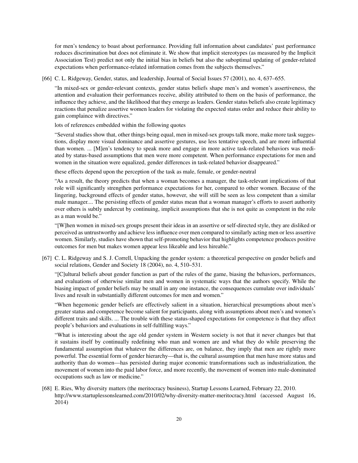for men's tendency to boast about performance. Providing full information about candidates' past performance reduces discrimination but does not eliminate it. We show that implicit stereotypes (as measured by the Implicit Association Test) predict not only the initial bias in beliefs but also the suboptimal updating of gender-related expectations when performance-related information comes from the subjects themselves."

[66] C. L. Ridgeway, Gender, status, and leadership, Journal of Social Issues 57 (2001), no. 4, 637–655.

"In mixed-sex or gender-relevant contexts, gender status beliefs shape men's and women's assertiveness, the attention and evaluation their performances receive, ability attributed to them on the basis of performance, the influence they achieve, and the likelihood that they emerge as leaders. Gender status beliefs also create legitimacy reactions that penalize assertive women leaders for violating the expected status order and reduce their ability to gain complaince with directives."

lots of references embedded within the following quotes

"Several studies show that, other things being equal, men in mixed-sex groups talk more, make more task suggestions, display more visual dominance and assertive gestures, use less tentative speech, and are more influential than women. ... [M]en's tendency to speak more and engage in more active task-related behaviors was mediated by status-based assumptions that men were more competent. When performance expectations for men and women in the situation were equalized, gender differences in task-related behavior disappeared."

these effects depend upon the perception of the task as male, female, or gender-neutral

"As a result, the theory predicts that when a woman becomes a manager, the task-relevant implications of that role will significantly strengthen performance expectations for her, compared to other women. Because of the lingering, background effects of gender status, however, she will still be seen as less competent than a similar male manager.... The persisting effects of gender status mean that a woman manager's efforts to assert authority over others is subtly undercut by continuing, implicit assumptions that she is not quite as competent in the role as a man would be."

"[W]hen women in mixed-sex groups present their ideas in an assertive or self-directed style, they are disliked or perceived as untrustworthy and achieve less influence over men compared to similarly acting men or less assertive women. Similarly, studies have shown that self-promoting behavior that highlights competence produces positive outcomes for men but makes women appear less likeable and less hireable."

[67] C. L. Ridgeway and S. J. Correll, Unpacking the gender system: a theoretical perspective on gender beliefs and social relations, Gender and Society 18 (2004), no. 4, 510–531.

"[C]ultural beliefs about gender function as part of the rules of the game, biasing the behaviors, performances, and evaluations of otherwise similar men and women in systematic ways that the authors specify. While the biasing impact of gender beliefs may be small in any one instance, the consequences cumulate over individuals' lives and result in substantially different outcomes for men and women."

"When hegemonic gender beliefs are effectively salient in a situation, hierarchical presumptions about men's greater status and competence become salient for participants, along with assumptions about men's and women's different traits and skills. ... The trouble with these status-shaped expectations for competence is that they affect people's behaviors and evaluations in self-fulfilling ways."

"What is interesting about the age old gender system in Western society is not that it never changes but that it sustains itself by continually redefining who man and women are and what they do while preserving the fundamental assumption that whatever the differences are, on balance, they imply that men are rightly more powerful. The essential form of gender hierarchy—that is, the cultural assumption that men have more status and authority than do women—has persisted during major economic transformations such as industrialization, the movement of women into the paid labor force, and more recently, the movement of women into male-dominated occupations such as law or medicine."

[68] E. Ries, Why diversity matters (the meritocracy business), Startup Lessons Learned, February 22, 2010. http://www.startuplessonslearned.com/2010/02/why-diversity-matter-meritocracy.html (accessed August 16, 2014)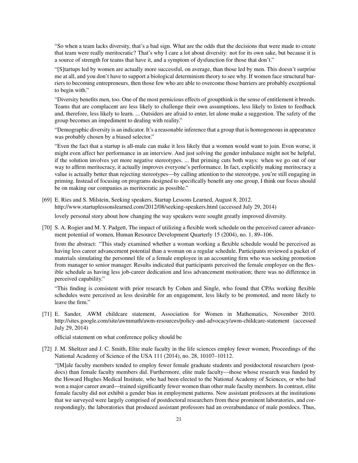"So when a team lacks diversity, that's a bad sign. What are the odds that the decisions that were made to create that team were really meritocratic? That's why I care a lot about diversity: not for its own sake, but because it is a source of strength for teams that have it, and a symptom of dysfunction for those that don't."

"[S]tartups led by women are actually more successful, on average, than those led by men. This doesn't surprise me at all, and you don't have to support a biological determinism theory to see why. If women face structural barriers to becoming entrepreneurs, then those few who are able to overcome those barriers are probably exceptional to begin with."

"Diversity benefits men, too. One of the most pernicious effects of groupthink is the sense of entitlement it breeds. Teams that are complacent are less likely to challenge their own assumptions, less likely to listen to feedback and, therefore, less likely to learn. ... Outsiders are afraid to enter, let alone make a suggestion. The safety of the group becomes an impediment to dealing with reality."

"Demographic diversity is an indicator. It's a reasonable inference that a group that is homogeneous in appearance was probably chosen by a biased selector."

"Even the fact that a startup is all-male can make it less likely that a women would want to join. Even worse, it might even affect her performance in an interview. And just solving the gender imbalance might not be helpful, if the solution involves yet more negative stereotypes. ... But priming cuts both ways: when we go out of our way to affirm meritocracy, it actually improves everyone's performance. In fact, explicitly making meritocracy a value is actually better than rejecting stereotypes—by calling attention to the stereotype, you're still engaging in priming. Instead of focusing on programs designed to specifically benefit any one group, I think our focus should be on making our companies as meritocratic as possible."

[69] E. Ries and S. Milstein, Seeking speakers, Startup Lessons Learned, August 8, 2012. http://www.startuplessonslearned.com/2012/08/seeking-speakers.html (accessed July 29, 2014)

lovely personal story about how changing the way speakers were sought greatly improved diversity.

[70] S. A. Rogier and M. Y. Padgett, The impact of utilizing a flexible work schedule on the perceived career advancement potential of women, Human Resource Development Quarterly 15 (2004), no. 1, 89–106.

from the abstract: "This study examined whether a woman working a flexible schedule would be perceived as having less career advancement potential than a woman on a regular schedule. Participants reviewed a packet of materials simulating the personnel file of a female employee in an accounting firm who was seeking promotion from manager to senior manager. Results indicated that participants perceived the female employee on the flexible schedule as having less job-career dedication and less advancement motivation; there was no difference in perceived capability."

"This finding is consistent with prior research by Cohen and Single, who found that CPAs working flexible schedules were perceived as less desirable for an engagement, less likely to be promoted, and more likely to leave the firm."

[71] E. Sander, AWM childcare statement, Association for Women in Mathematics, November 2010. http://sites.google.com/site/awmmath/awm-resources/policy-and-advocacy/awm-childcare-statement (accessed July 29, 2014)

official statement on what conference policy should be

[72] J. M. Sheltzer and J. C. Smith, Elite male faculty in the life sciences employ fewer women, Proceedings of the National Academy of Science of the USA 111 (2014), no. 28, 10107–10112.

"[M]ale faculty members tended to employ fewer female graduate students and postdoctoral researchers (postdocs) than female faculty members did. Furthermore, elite male faculty—those whose research was funded by the Howard Hughes Medical Institute, who had been elected to the National Academy of Sciences, or who had won a major career award—trained significantly fewer women than other male faculty members. In contrast, elite female faculty did not exhibit a gender bias in employment patterns. New assistant professors at the institutions that we surveyed were largely comprised of postdoctoral researchers from these prominent laboratories, and correspondingly, the laboratories that produced assistant professors had an overabundance of male postdocs. Thus,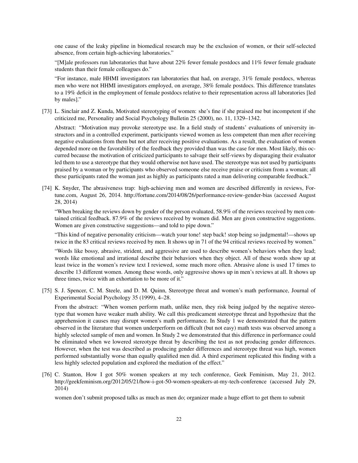one cause of the leaky pipeline in biomedical research may be the exclusion of women, or their self-selected absence, from certain high-achieving laboratories."

"[M]ale professors run laboratories that have about 22% fewer female postdocs and 11% fewer female graduate students than their female colleagues do."

"For instance, male HHMI investigators ran laboratories that had, on average, 31% female postdocs, whereas men who were not HHMI investigators employed, on average, 38% female postdocs. This difference translates to a 19% deficit in the employment of female postdocs relative to their representation across all laboratories [led by males]."

[73] L. Sinclair and Z. Kunda, Motivated stereotyping of women: she's fine if she praised me but incompetent if she criticized me, Personality and Social Psychology Bulletin 25 (2000), no. 11, 1329–1342.

Abstract: "Motivation may provoke stereotype use. In a field study of students' evaluations of university instructors and in a controlled experiment, participants viewed women as less competent than men after receiving negative evaluations from them but not after receiving positive evaluations. As a result, the evaluation of women depended more on the favorability of the feedback they provided than was the case for men. Most likely, this occurred because the motivation of criticized participants to salvage their self-views by disparaging their evaluator led them to use a stereotype that they would otherwise not have used. The stereotype was not used by participants praised by a woman or by participants who observed someone else receive praise or criticism from a woman; all these participants rated the woman just as highly as participants rated a man delivering comparable feedback."

[74] K. Snyder, The abrasiveness trap: high-achieving men and women are described differently in reviews, Fortune.com, August 26, 2014. http://fortune.com/2014/08/26/performance-review-gender-bias (accessed August 28, 2014)

"When breaking the reviews down by gender of the person evaluated, 58.9% of the reviews received by men contained critical feedback. 87.9% of the reviews received by women did. Men are given constructive suggestions. Women are given constructive suggestions—and told to pipe down."

"This kind of negative personality criticism—watch your tone! step back! stop being so judgmental!—shows up twice in the 83 critical reviews received by men. It shows up in 71 of the 94 critical reviews received by women."

"Words like bossy, abrasive, strident, and aggressive are used to describe women's behaviors when they lead; words like emotional and irrational describe their behaviors when they object. All of these words show up at least twice in the women's review text I reviewed, some much more often. Abrasive alone is used 17 times to describe 13 different women. Among these words, only aggressive shows up in men's reviews at all. It shows up three times, twice with an exhortation to be more of it."

[75] S. J. Spencer, C. M. Steele, and D. M. Quinn, Stereotype threat and women's math performance, Journal of Experimental Social Psychology 35 (1999), 4–28.

From the abstract: "When women perform math, unlike men, they risk being judged by the negative stereotype that women have weaker math ability. We call this predicament stereotype threat and hypothesize that the apprehension it causes may disrupt women's math performance. In Study 1 we demonstrated that the pattern observed in the literature that women underperform on difficult (but not easy) math tests was observed among a highly selected sample of men and women. In Study 2 we demonstrated that this difference in performance could be eliminated when we lowered stereotype threat by describing the test as not producing gender differences. However, when the test was described as producing gender differences and stereotype threat was high, women performed substantially worse than equally qualified men did. A third experiment replicated this finding with a less highly selected population and explored the mediation of the effect."

[76] C. Stanton, How I got 50% women speakers at my tech conference, Geek Feminism, May 21, 2012. http://geekfeminism.org/2012/05/21/how-i-got-50-women-speakers-at-my-tech-conference (accessed July 29, 2014)

women don't submit proposed talks as much as men do; organizer made a huge effort to get them to submit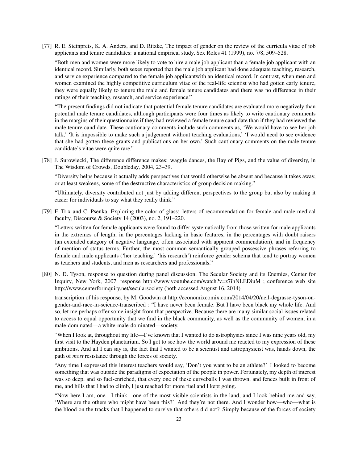[77] R. E. Steinpreis, K. A. Anders, and D. Ritzke, The impact of gender on the review of the curricula vitae of job applicants and tenure candidates: a national empirical study, Sex Roles 41 (1999), no. 7/8, 509–528.

"Both men and women were more likely to vote to hire a male job applicant than a female job applicant with an identical record. Similarly, both sexes reported that the male job applicant had done adequate teaching, research, and service experience compared to the female job applicantwith an identical record. In contrast, when men and women examined the highly competitive curriculum vitae of the real-life scientist who had gotten early tenure, they were equally likely to tenure the male and female tenure candidates and there was no difference in their ratings of their teaching, research, and service experience."

"The present findings did not indicate that potential female tenure candidates are evaluated more negatively than potential male tenure candidates, although participants were four times as likely to write cautionary comments in the margins of their questionnaire if they had reviewed a female tenure candidate than if they had reviewed the male tenure candidate. These cautionary comments include such comments as, 'We would have to see her job talk,' 'It is impossible to make such a judgement without teaching evaluations,' 'I would need to see evidence that she had gotten these grants and publications on her own.' Such cautionary comments on the male tenure candidate's vitae were quite rare."

[78] J. Surowiecki, The difference difference makes: waggle dances, the Bay of Pigs, and the value of diversity, in The Wisdom of Crowds, Doubleday, 2004, 23–39.

"Diversity helps because it actually adds perspectives that would otherwise be absent and because it takes away, or at least weakens, some of the destructive characteristics of group decision making."

"Ultimately, diversity contributed not just by adding different perspectives to the group but also by making it easier for individuals to say what they really think."

[79] F. Trix and C. Psenka, Exploring the color of glass: letters of recommendation for female and male medical faculty, Discourse & Society 14 (2003), no. 2, 191–220.

"Letters written for female applicants were found to differ systematically from those written for male applicants in the extremes of length, in the percentages lacking in basic features, in the percentages with doubt raisers (an extended category of negative language, often associated with apparent commendation), and in frequency of mention of status terms. Further, the most common semantically grouped possessive phrases referring to female and male applicants ('her teaching,' 'his research') reinforce gender schema that tend to portray women as teachers and students, and men as researchers and professionals."

[80] N. D. Tyson, response to question during panel discussion, The Secular Society and its Enemies, Center for Inquiry, New York, 2007. response http://www.youtube.com/watch?v=z7ihNLEDiuM ; conference web site http://www.centerforinquiry.net/secularsociety (both accessed August 16, 2014)

transcription of his response, by M. Goodwin at http://economixcomix.com/2014/04/20/neil-degrasse-tyson-ongender-and-race-in-science-transcribed : "I have never been female. But I have been black my whole life. And so, let me perhaps offer some insight from that perspective. Because there are many similar social issues related to access to equal opportunity that we find in the black community, as well as the community of women, in a male-dominated—a white-male-dominated—society.

"When I look at, throughout my life—I've known that I wanted to do astrophysics since I was nine years old, my first visit to the Hayden planetarium. So I got to see how the world around me reacted to my expression of these ambitions. And all I can say is, the fact that I wanted to be a scientist and astrophysicist was, hands down, the path of *most* resistance through the forces of society.

"Any time I expressed this interest teachers would say, 'Don't you want to be an athlete?' I looked to become something that was outside the paradigms of expectation of the people in power. Fortunately, my depth of interest was so deep, and so fuel-enriched, that every one of these curveballs I was thrown, and fences built in front of me, and hills that I had to climb, I just reached for more fuel and I kept going.

"Now here I am, one—I think—one of the most visible scientists in the land, and I look behind me and say, 'Where are the others who might have been this?' And they're not there. And I wonder how—who—what is the blood on the tracks that I happened to survive that others did not? Simply because of the forces of society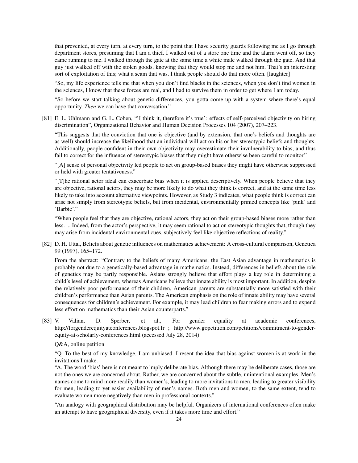that prevented, at every turn, at every turn, to the point that I have security guards following me as I go through department stores, presuming that I am a thief. I walked out of a store one time and the alarm went off, so they came running to me. I walked through the gate at the same time a white male walked through the gate. And that guy just walked off with the stolen goods, knowing that they would stop me and not him. That's an interesting sort of exploitation of this; what a scam that was. I think people should do that more often. [laughter]

"So, my life experience tells me that when you don't find blacks in the sciences, when you don't find women in the sciences, I know that these forces are real, and I had to survive them in order to get where I am today.

"So before we start talking about genetic differences, you gotta come up with a system where there's equal opportunity. *Then* we can have that conversation."

[81] E. L. Uhlmann and G. L. Cohen, "'I think it, therefore it's true': effects of self-perceived objectivity on hiring discrimination", Organizational Behavior and Human Decision Processes 104 (2007), 207–223.

"This suggests that the conviction that one is objective (and by extension, that one's beliefs and thoughts are as well) should increase the likelihood that an individual will act on his or her stereotypic beliefs and thoughts. Additionally, people confident in their own objectivity may overestimate their invulnerability to bias, and thus fail to correct for the influence of stereotypic biases that they might have otherwise been careful to monitor."

"[A] sense of personal objectivity led people to act on group-based biases they might have otherwise suppressed or held with greater tentativeness."

"[T]he rational actor ideal can exacerbate bias when it is applied descriptively. When people believe that they are objective, rational actors, they may be more likely to do what they think is correct, and at the same time less likely to take into account alternative viewpoints. However, as Study 3 indicates, what people think is correct can arise not simply from stereotypic beliefs, but from incidental, environmentally primed concepts like 'pink' and 'Barbie'."

"When people feel that they are objective, rational actors, they act on their group-based biases more rather than less. ... Indeed, from the actor's perspective, it may seem rational to act on stereotypic thoughts that, though they may arise from incidental environmental cues, subjectively feel like objective reflections of reality."

[82] D. H. Uttal, Beliefs about genetic influences on mathematics achievement: A cross-cultural comparison, Genetica 99 (1997), 165–172.

From the abstract: "Contrary to the beliefs of many Americans, the East Asian advantage in mathematics is probably not due to a genetically-based advantage in mathematics. Instead, differences in beliefs about the role of genetics may be partly responsible. Asians strongly believe that effort plays a key role in determining a child's level of achievement, whereas Americans believe that innate ability is most important. In addition, despite the relatively poor performance of their children, American parents are substantially more satisfied with their children's performance than Asian parents. The American emphasis on the role of innate ability may have several consequences for children's achievement. For example, it may lead children to fear making errors and to expend less effort on mathematics than their Asian counterparts."

[83] V. Valian, D. Sperber, et al., For gender equality at academic conferences, http://forgenderequityatconferences.blogspot.fr ; http://www.gopetition.com/petitions/commitment-to-genderequity-at-scholarly-conferences.html (accessed July 28, 2014)

Q&A, online petition

"Q. To the best of my knowledge, I am unbiased. I resent the idea that bias against women is at work in the invitations I make.

"A. The word 'bias' here is not meant to imply deliberate bias. Although there may be deliberate cases, those are not the ones we are concerned about. Rather, we are concerned about the subtle, unintentional examples. Men's names come to mind more readily than women's, leading to more invitations to men, leading to greater visibility for men, leading to yet easier availability of men's names. Both men and women, to the same extent, tend to evaluate women more negatively than men in professional contexts."

"An analogy with geographical distribution may be helpful. Organizers of international conferences often make an attempt to have geographical diversity, even if it takes more time and effort."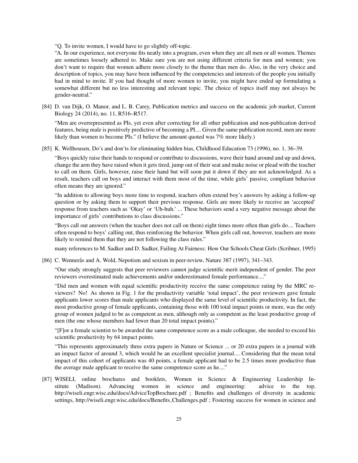"Q. To invite women, I would have to go slightly off-topic.

"A. In our experience, not everyone fits neatly into a program, even when they are all men or all women. Themes are sometimes loosely adhered to. Make sure you are not using different criteria for men and women; you don't want to require that women adhere more closely to the theme than men do. Also, in the very choice and description of topics, you may have been influenced by the competencies and interests of the people you initially had in mind to invite. If you had thought of more women to invite, you might have ended up formulating a somewhat different but no less interesting and relevant topic. The choice of topics itself may not always be gender-neutral."

[84] D. van Dijk, O. Manor, and L. B. Carey, Publication metrics and success on the academic job market, Current Biology 24 (2014), no. 11, R516–R517.

"Men are overrepresented as PIs, yet even after correcting for all other publication and non-publication derived features, being male is positively predictive of becoming a PI.... Given the same publication record, men are more likely than women to become PIs." (I believe the amount quoted was 7% more likely.)

[85] K. Wellhousen, Do's and don'ts for eliminating hidden bias, Childhood Education 73 (1996), no. 1, 36–39.

"Boys quickly raise their hands to respond or contribute to discussions, wave their hand around and up and down, change the arm they have raised when it gets tired, jump out of their seat and make noise or plead with the teacher to call on them. Girls, however, raise their hand but will soon put it down if they are not acknowledged. As a result, teachers call on boys and interact with them most of the time, while girls' passive, compliant behavior often means they are ignored."

"In addition to allowing boys more time to respond, teachers often extend boy's answers by asking a follow-up question or by asking them to support their previous response. Girls are more likely to receive an 'accepted' response from teachers such as 'Okay' or 'Uh-huh.' ... These behaviors send a very negative message about the importance of girls' contributions to class discussions."

"Boys call out answers (when the teacher does not call on them) eight times more often than girls do.... Teachers often respond to boys' calling out, thus reinforcing the behavior. When girls call out, however, teachers are more likely to remind them that they are not following the class rules."

many references to M. Sadker and D. Sadker, Failing At Fairness: How Our Schools Cheat Girls (Scribner, 1995)

[86] C. Wennerås and A. Wold, Nepotism and sexism in peer-review, Nature 387 (1997), 341–343.

"Our study strongly suggests that peer reviewers cannot judge scientific merit independent of gender. The peer reviewers overestimated male achievements and/or underestimated female performance...."

"Did men and women with equal scientific productivity receive the same competence rating by the MRC reviewers? No! As shown in Fig. 1 for the productivity variable 'total impact', the peer reviewers gave female applicants lower scores than male applicants who displayed the same level of scientific productivity. In fact, the most productive group of female applicants, containing those with 100 total impact points or more, was the only group of women judged to be as competent as men, although only as competent as the least productive group of men (the one whose members had fewer than 20 total impact points)."

"[F]or a female scientist to be awarded the same competence score as a male colleague, she needed to exceed his scientific productivity by 64 impact points.

"This represents approximately three extra papers in Nature or Science ... or 20 extra papers in a journal with an impact factor of around 3, which would be an excellent specialist journal.... Considering that the mean total impact of this cohort of applicants was 40 points, a female applicant had to be 2.5 times more productive than the average male applicant to receive the same competence score as he...."

[87] WISELI, online brochures and booklets, Women in Science & Engineering Leadership Institute (Madison). Advancing women in science and engineering: advice to the top, http://wiseli.engr.wisc.edu/docs/AdviceTopBrochure.pdf ; Benefits and challenges of diversity in academic settings, http://wiseli.engr.wisc.edu/docs/Benefits Challenges.pdf ; Fostering success for women in science and